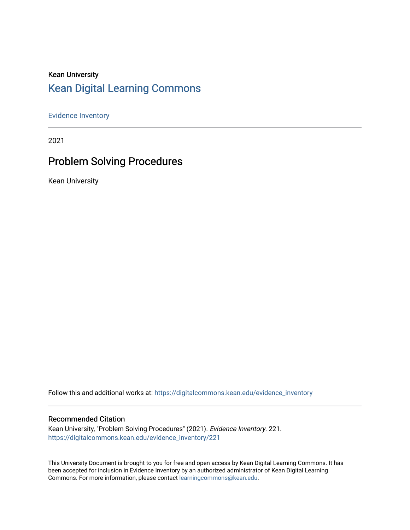## Kean University [Kean Digital Learning Commons](https://digitalcommons.kean.edu/)

[Evidence Inventory](https://digitalcommons.kean.edu/evidence_inventory) 

2021

## Problem Solving Procedures

Kean University

Follow this and additional works at: [https://digitalcommons.kean.edu/evidence\\_inventory](https://digitalcommons.kean.edu/evidence_inventory?utm_source=digitalcommons.kean.edu%2Fevidence_inventory%2F221&utm_medium=PDF&utm_campaign=PDFCoverPages)

#### Recommended Citation

Kean University, "Problem Solving Procedures" (2021). Evidence Inventory. 221. [https://digitalcommons.kean.edu/evidence\\_inventory/221](https://digitalcommons.kean.edu/evidence_inventory/221?utm_source=digitalcommons.kean.edu%2Fevidence_inventory%2F221&utm_medium=PDF&utm_campaign=PDFCoverPages)

This University Document is brought to you for free and open access by Kean Digital Learning Commons. It has been accepted for inclusion in Evidence Inventory by an authorized administrator of Kean Digital Learning Commons. For more information, please contact [learningcommons@kean.edu.](mailto:learningcommons@kean.edu)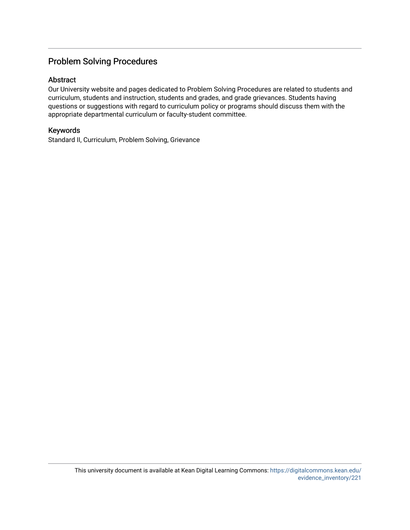#### Problem Solving Procedures

#### Abstract

Our University website and pages dedicated to Problem Solving Procedures are related to students and curriculum, students and instruction, students and grades, and grade grievances. Students having questions or suggestions with regard to curriculum policy or programs should discuss them with the appropriate departmental curriculum or faculty-student committee.

#### Keywords

Standard II, Curriculum, Problem Solving, Grievance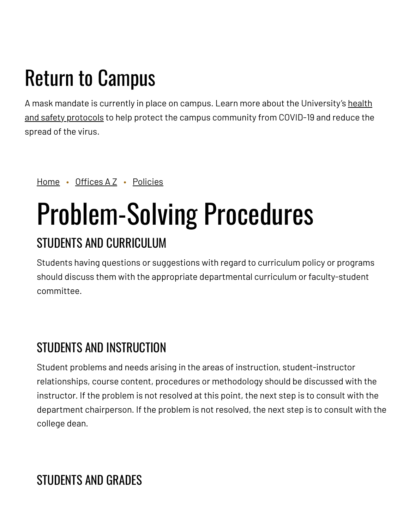## Return to Campus

A mask mandate is currently in place on campus. Learn more about the [University's](https://www.kean.edu/welcome-fall-2021-semester) health and safety protocols to help protect the campus community from COVID-19 and reduce the spread of the virus.

[Home](https://www.kean.edu/) • [Offices](https://www.kean.edu/offices) A Z • [Policies](https://www.kean.edu/offices/policies)

# Problem-Solving Procedures

## STUDENTS AND CURRICULUM

Students having questions or suggestions with regard to curriculum policy or programs should discuss them with the appropriate departmental curriculum or faculty-student committee.

## STUDENTS AND INSTRUCTION

Student problems and needs arising in the areas of instruction, student-instructor relationships, course content, procedures or methodology should be discussed with the instructor. If the problem is not resolved at this point, the next step is to consult with the department chairperson. If the problem is not resolved, the next step is to consult with the college dean.

## STUDENTS AND GRADES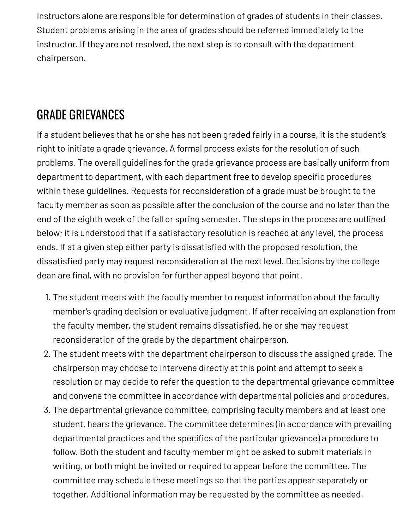Instructors alone are responsible for determination of grades of students in their classes. Student problems arising in the area of grades should be referred immediately to the instructor. If they are not resolved, the next step is to consult with the department chairperson.

## GRADE GRIEVANCES

If a student believes that he or she has not been graded fairly in a course, it is the student's right to initiate a grade grievance. A formal process exists for the resolution of such problems. The overall guidelines for the grade grievance process are basically uniform from department to department, with each department free to develop specific procedures within these guidelines. Requests for reconsideration of a grade must be brought to the faculty member as soon as possible after the conclusion of the course and no later than the end of the eighth week of the fall or spring semester. The steps in the process are outlined below; it is understood that if a satisfactory resolution is reached at any level, the process ends. If at a given step either party is dissatisfied with the proposed resolution, the dissatisfied party may request reconsideration at the next level. Decisions by the college dean are final, with no provision for further appeal beyond that point.

- 1. The student meets with the faculty member to request information about the faculty member's grading decision or evaluative judgment. If after receiving an explanation from the faculty member, the student remains dissatisfied, he or she may request reconsideration of the grade by the department chairperson.
- 2. The student meets with the department chairperson to discuss the assigned grade. The chairperson may choose to intervene directly at this point and attempt to seek a resolution or may decide to refer the question to the departmental grievance committee and convene the committee in accordance with departmental policies and procedures.
- 3. The departmental grievance committee, comprising faculty members and at least one student, hears the grievance. The committee determines (in accordance with prevailing departmental practices and the specifics of the particular grievance) a procedure to follow. Both the student and faculty member might be asked to submit materials in writing, or both might be invited or required to appear before the committee. The committee may schedule these meetings so that the parties appear separately or together. Additional information may be requested by the committee as needed.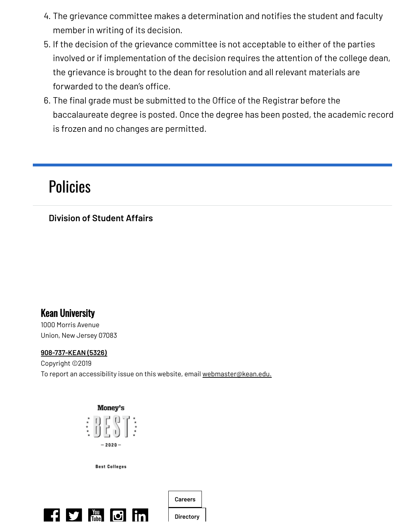- 4. The grievance committee makes a determination and notifies the student and faculty member in writing of its decision.
- 5. If the decision of the grievance committee is not acceptable to either of the parties involved or if implementation of the decision requires the attention of the college dean, the grievance is brought to the dean for resolution and all relevant materials are forwarded to the dean's office.
- 6. The final grade must be submitted to the Office of the Registrar before the baccalaureate degree is posted. Once the degree has been posted, the academic record is frozen and no changes are permitted.

## [Policies](https://www.kean.edu/offices/policies)

### **Division of [Student](https://www.kean.edu/division-student-affairs) Affairs**

## Kean University

1000 Morris Avenue Union, New Jersey 07083

#### **[908-737-KEAN](tel:908-737-5326) (5326)**

Copyright ©2019 To report an accessibility issue on this website, email [webmaster@kean.edu.](mailto:webmaster@kean.edu)



**Best Colleges**